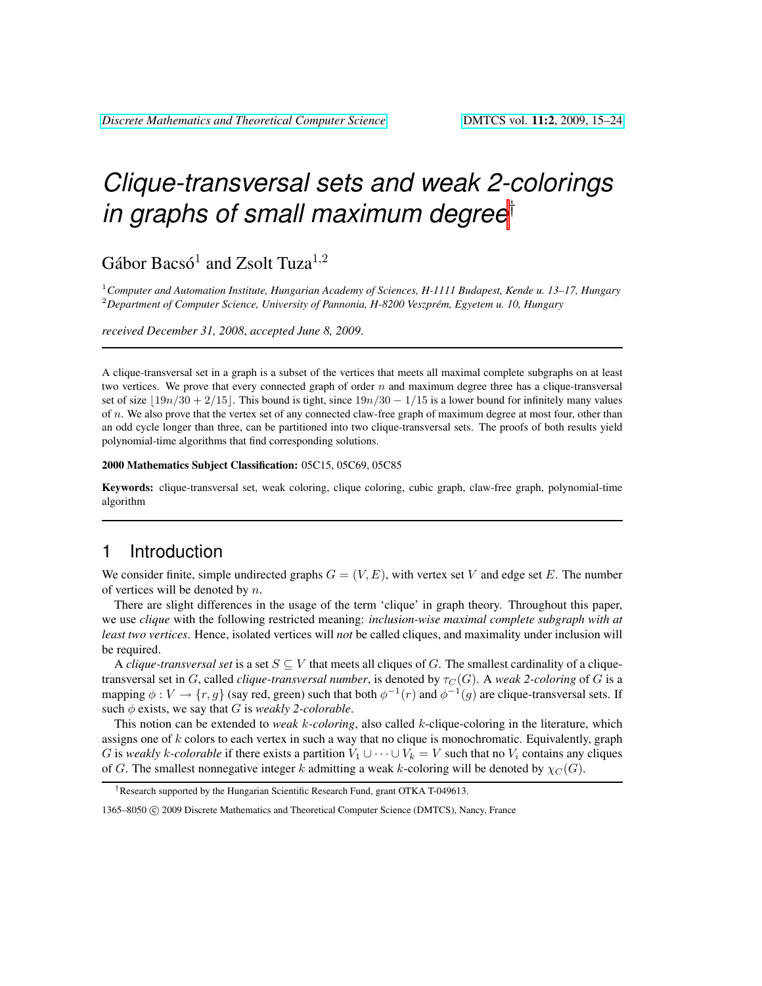# *Clique-transversal sets and weak 2-colorings in graphs of small maximum degree*†

Gábor Bacsó<sup>1</sup> and Zsolt Tuza<sup>1,2</sup>

<sup>1</sup>*Computer and Automation Institute, Hungarian Academy of Sciences, H-1111 Budapest, Kende u. 13–17, Hungary* <sup>2</sup>*Department of Computer Science, University of Pannonia, H-8200 Veszprem, Egyetem u. 10, Hungary ´*

*received December 31, 2008*, *accepted June 8, 2009*.

A clique-transversal set in a graph is a subset of the vertices that meets all maximal complete subgraphs on at least two vertices. We prove that every connected graph of order  $n$  and maximum degree three has a clique-transversal set of size  $|19n/30 + 2/15|$ . This bound is tight, since  $19n/30 - 1/15$  is a lower bound for infinitely many values of  $n$ . We also prove that the vertex set of any connected claw-free graph of maximum degree at most four, other than an odd cycle longer than three, can be partitioned into two clique-transversal sets. The proofs of both results yield polynomial-time algorithms that find corresponding solutions.

#### 2000 Mathematics Subject Classification: 05C15, 05C69, 05C85

Keywords: clique-transversal set, weak coloring, clique coloring, cubic graph, claw-free graph, polynomial-time algorithm

## 1 Introduction

We consider finite, simple undirected graphs  $G = (V, E)$ , with vertex set V and edge set E. The number of vertices will be denoted by  $n$ .

There are slight differences in the usage of the term 'clique' in graph theory. Throughout this paper, we use *clique* with the following restricted meaning: *inclusion-wise maximal complete subgraph with at least two vertices*. Hence, isolated vertices will *not* be called cliques, and maximality under inclusion will be required.

A *clique-transversal set* is a set  $S \subseteq V$  that meets all cliques of G. The smallest cardinality of a cliquetransversal set in G, called *clique-transversal number*, is denoted by  $\tau_C(G)$ . A *weak 2-coloring* of G is a mapping  $\phi: V \to \{r, g\}$  (say red, green) such that both  $\phi^{-1}(r)$  and  $\phi^{-1}(g)$  are clique-transversal sets. If such  $\phi$  exists, we say that G is *weakly 2-colorable*.

This notion can be extended to *weak* k*-coloring*, also called k-clique-coloring in the literature, which assigns one of  $k$  colors to each vertex in such a way that no clique is monochromatic. Equivalently, graph G is *weakly* k-colorable if there exists a partition  $V_1 \cup \cdots \cup V_k = V$  such that no  $V_i$  contains any cliques of G. The smallest nonnegative integer k admitting a weak k-coloring will be denoted by  $\chi_C(G)$ .

<sup>†</sup>Research supported by the Hungarian Scientific Research Fund, grant OTKA T-049613.

<sup>1365–8050 (</sup>C) 2009 Discrete Mathematics and Theoretical Computer Science (DMTCS), Nancy, France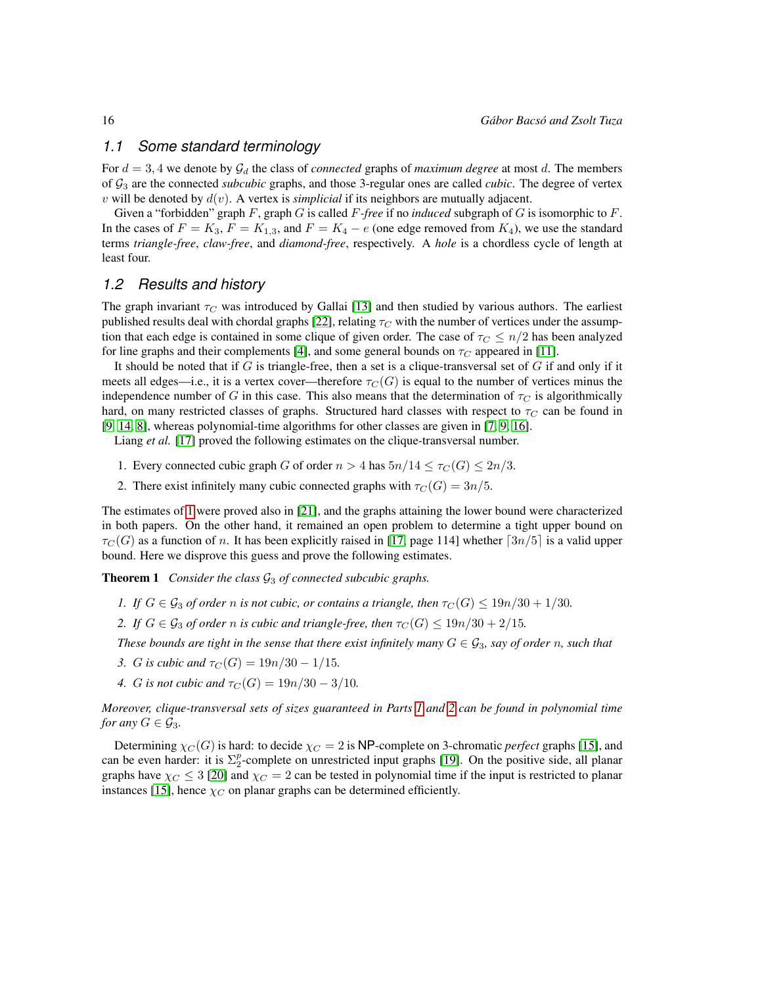#### *1.1 Some standard terminology*

For  $d = 3, 4$  we denote by  $\mathcal{G}_d$  the class of *connected* graphs of *maximum degree* at most d. The members of G<sup>3</sup> are the connected *subcubic* graphs, and those 3-regular ones are called *cubic*. The degree of vertex  $v$  will be denoted by  $d(v)$ . A vertex is *simplicial* if its neighbors are mutually adjacent.

Given a "forbidden" graph F, graph G is called F*-free* if no *induced* subgraph of G is isomorphic to F. In the cases of  $F = K_3$ ,  $F = K_{1,3}$ , and  $F = K_4 - e$  (one edge removed from  $K_4$ ), we use the standard terms *triangle-free*, *claw-free*, and *diamond-free*, respectively. A *hole* is a chordless cycle of length at least four.

### *1.2 Results and history*

The graph invariant  $\tau_C$  was introduced by Gallai [\[13\]](#page-9-0) and then studied by various authors. The earliest published results deal with chordal graphs [\[22\]](#page-9-1), relating  $\tau_C$  with the number of vertices under the assumption that each edge is contained in some clique of given order. The case of  $\tau_C \leq n/2$  has been analyzed for line graphs and their complements [\[4\]](#page-9-2), and some general bounds on  $\tau_C$  appeared in [\[11\]](#page-9-3).

It should be noted that if  $G$  is triangle-free, then a set is a clique-transversal set of  $G$  if and only if it meets all edges—i.e., it is a vertex cover—therefore  $\tau_C(G)$  is equal to the number of vertices minus the independence number of G in this case. This also means that the determination of  $\tau_C$  is algorithmically hard, on many restricted classes of graphs. Structured hard classes with respect to  $\tau_C$  can be found in [\[9,](#page-9-4) [14,](#page-9-5) [8\]](#page-9-6), whereas polynomial-time algorithms for other classes are given in [\[7,](#page-9-7) [9,](#page-9-4) [16\]](#page-9-8).

Liang *et al.* [\[17\]](#page-9-9) proved the following estimates on the clique-transversal number.

- <span id="page-1-0"></span>1. Every connected cubic graph G of order  $n > 4$  has  $5n/14 \leq \tau_C(G) \leq 2n/3$ .
- 2. There exist infinitely many cubic connected graphs with  $\tau_C(G) = 3n/5$ .

The estimates of [1](#page-1-0) were proved also in [\[21\]](#page-9-10), and the graphs attaining the lower bound were characterized in both papers. On the other hand, it remained an open problem to determine a tight upper bound on  $\tau_C(G)$  as a function of n. It has been explicitly raised in [\[17,](#page-9-9) page 114] whether  $\lceil 3n/5 \rceil$  is a valid upper bound. Here we disprove this guess and prove the following estimates.

<span id="page-1-3"></span>**Theorem 1** *Consider the class*  $G_3$  *of connected subcubic graphs.* 

- <span id="page-1-1"></span>*1. If*  $G \in \mathcal{G}_3$  *of order n is not cubic, or contains a triangle, then*  $\tau_C(G) \leq 19n/30 + 1/30$ *.*
- <span id="page-1-2"></span>*2. If*  $G \in \mathcal{G}_3$  *of order n is cubic and triangle-free, then*  $\tau_C(G) \leq 19n/30 + 2/15$ *.*

*These bounds are tight in the sense that there exist infinitely many*  $G \in \mathcal{G}_3$ *, say of order* n, such that

- <span id="page-1-4"></span>*3. G is cubic and*  $\tau_C(G) = 19n/30 - 1/15$ .
- <span id="page-1-5"></span>*4. G is not cubic and*  $\tau_C(G) = 19n/30 - 3/10$ *.*

*Moreover, clique-transversal sets of sizes guaranteed in Parts [1](#page-1-1) and [2](#page-1-2) can be found in polynomial time for any*  $G \in \mathcal{G}_3$ *.* 

Determining  $\chi_C(G)$  is hard: to decide  $\chi_C = 2$  is NP-complete on 3-chromatic *perfect* graphs [\[15\]](#page-9-11), and can be even harder: it is  $\Sigma_2^p$ -complete on unrestricted input graphs [\[19\]](#page-9-12). On the positive side, all planar graphs have  $\chi_C \leq 3$  [\[20\]](#page-9-13) and  $\chi_C = 2$  can be tested in polynomial time if the input is restricted to planar instances [\[15\]](#page-9-11), hence  $\chi_C$  on planar graphs can be determined efficiently.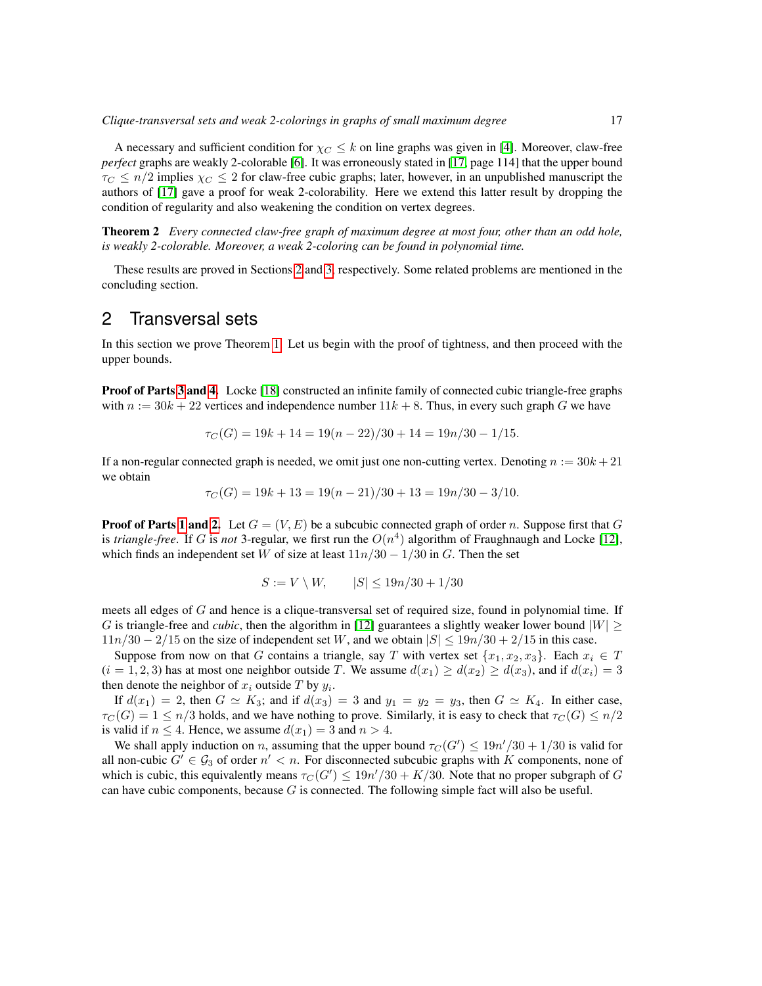A necessary and sufficient condition for  $\chi_C \leq k$  on line graphs was given in [\[4\]](#page-9-2). Moreover, claw-free *perfect* graphs are weakly 2-colorable [\[6\]](#page-9-14). It was erroneously stated in [\[17,](#page-9-9) page 114] that the upper bound  $\tau_C \le n/2$  implies  $\chi_C \le 2$  for claw-free cubic graphs; later, however, in an unpublished manuscript the authors of [\[17\]](#page-9-9) gave a proof for weak 2-colorability. Here we extend this latter result by dropping the condition of regularity and also weakening the condition on vertex degrees.

<span id="page-2-2"></span>Theorem 2 *Every connected claw-free graph of maximum degree at most four, other than an odd hole, is weakly 2-colorable. Moreover, a weak 2-coloring can be found in polynomial time.*

These results are proved in Sections [2](#page-2-0) and [3,](#page-3-0) respectively. Some related problems are mentioned in the concluding section.

## <span id="page-2-0"></span>2 Transversal sets

In this section we prove Theorem [1.](#page-1-3) Let us begin with the proof of tightness, and then proceed with the upper bounds.

**Proof of Parts [3](#page-1-4) and [4.](#page-1-5)** Locke [\[18\]](#page-9-15) constructed an infinite family of connected cubic triangle-free graphs with  $n := 30k + 22$  vertices and independence number  $11k + 8$ . Thus, in every such graph G we have

$$
\tau_C(G) = 19k + 14 = 19(n - 22)/30 + 14 = 19n/30 - 1/15.
$$

If a non-regular connected graph is needed, we omit just one non-cutting vertex. Denoting  $n := 30k + 21$ we obtain

$$
\tau_C(G) = 19k + 13 = 19(n - 21)/30 + 13 = 19n/30 - 3/10.
$$

**Proof of Parts [1](#page-1-1) and [2.](#page-1-2)** Let  $G = (V, E)$  be a subcubic connected graph of order n. Suppose first that G is *triangle-free*. If G is *not* 3-regular, we first run the  $O(n^4)$  algorithm of Fraughnaugh and Locke [\[12\]](#page-9-16), which finds an independent set W of size at least  $11n/30 - 1/30$  in G. Then the set

$$
S := V \setminus W, \qquad |S| \le 19n/30 + 1/30
$$

meets all edges of G and hence is a clique-transversal set of required size, found in polynomial time. If G is triangle-free and *cubic*, then the algorithm in [\[12\]](#page-9-16) guarantees a slightly weaker lower bound  $|W| \ge$  $11n/30 - 2/15$  on the size of independent set W, and we obtain  $|S| \leq 19n/30 + 2/15$  in this case.

Suppose from now on that G contains a triangle, say T with vertex set  $\{x_1, x_2, x_3\}$ . Each  $x_i \in T$  $(i = 1, 2, 3)$  has at most one neighbor outside T. We assume  $d(x_1) \geq d(x_2) \geq d(x_3)$ , and if  $d(x_i) = 3$ then denote the neighbor of  $x_i$  outside T by  $y_i$ .

If  $d(x_1) = 2$ , then  $G \simeq K_3$ ; and if  $d(x_3) = 3$  and  $y_1 = y_2 = y_3$ , then  $G \simeq K_4$ . In either case,  $\tau_C(G) = 1 \le n/3$  holds, and we have nothing to prove. Similarly, it is easy to check that  $\tau_C(G) \le n/2$ is valid if  $n \leq 4$ . Hence, we assume  $d(x_1) = 3$  and  $n > 4$ .

<span id="page-2-1"></span>We shall apply induction on n, assuming that the upper bound  $\tau_C(G') \leq 19n'/30 + 1/30$  is valid for all non-cubic  $G' \in \mathcal{G}_3$  of order  $n' < n$ . For disconnected subcubic graphs with K components, none of which is cubic, this equivalently means  $\tau_C(G') \leq 19n'/30 + K/30$ . Note that no proper subgraph of G can have cubic components, because  $G$  is connected. The following simple fact will also be useful.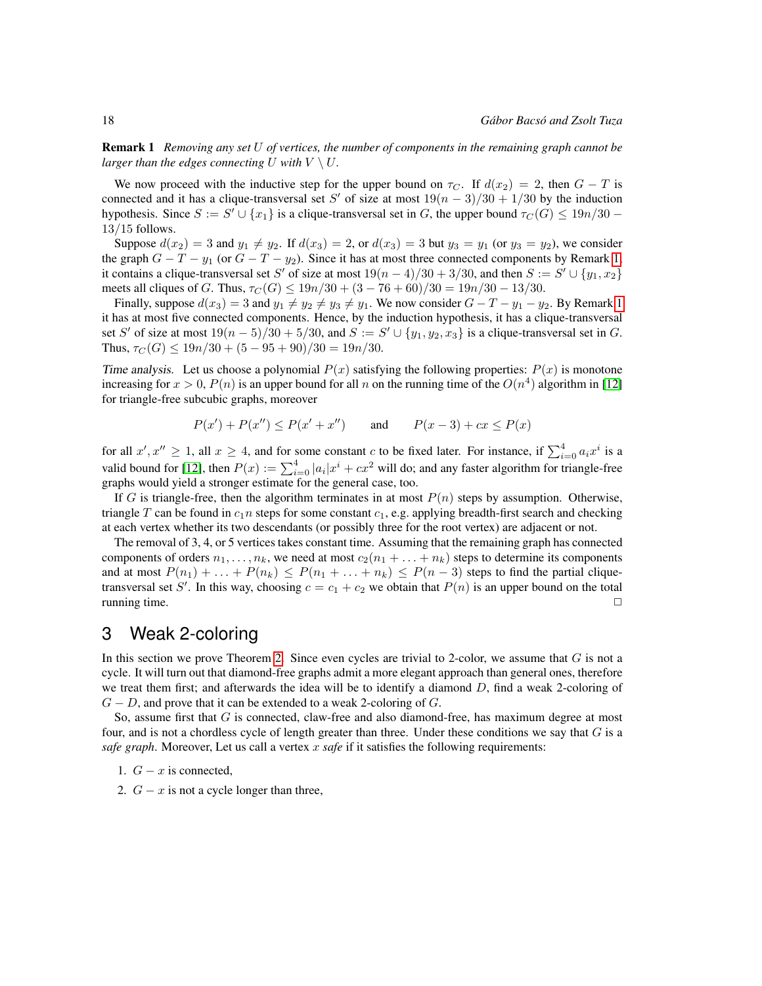Remark 1 *Removing any set* U *of vertices, the number of components in the remaining graph cannot be larger than the edges connecting*  $U$  *with*  $V \setminus U$ *.* 

We now proceed with the inductive step for the upper bound on  $\tau_C$ . If  $d(x_2) = 2$ , then  $G - T$  is connected and it has a clique-transversal set S' of size at most  $19(n-3)/30 + 1/30$  by the induction hypothesis. Since  $S := S' \cup \{x_1\}$  is a clique-transversal set in G, the upper bound  $\tau_C(G) \le 19n/30$  – 13/15 follows.

Suppose  $d(x_2) = 3$  and  $y_1 \neq y_2$ . If  $d(x_3) = 2$ , or  $d(x_3) = 3$  but  $y_3 = y_1$  (or  $y_3 = y_2$ ), we consider the graph  $G - T - y_1$  (or  $G - T - y_2$ ). Since it has at most three connected components by Remark [1,](#page-2-1) it contains a clique-transversal set S' of size at most  $19(n-4)/30 + 3/30$ , and then  $S := S' \cup \{y_1, x_2\}$ meets all cliques of G. Thus,  $\tau_C(G) \leq 19n/30 + (3 - 76 + 60)/30 = 19n/30 - 13/30$ .

Finally, suppose  $d(x_3) = 3$  and  $y_1 \neq y_2 \neq y_3 \neq y_1$ . We now consider  $G - T - y_1 - y_2$ . By Remark [1](#page-2-1) it has at most five connected components. Hence, by the induction hypothesis, it has a clique-transversal set S' of size at most  $19(n-5)/30 + 5/30$ , and  $S := S' \cup \{y_1, y_2, x_3\}$  is a clique-transversal set in G. Thus,  $\tau_C(G) \leq 19n/30 + (5 - 95 + 90)/30 = 19n/30$ .

Time analysis. Let us choose a polynomial  $P(x)$  satisfying the following properties:  $P(x)$  is monotone increasing for  $x > 0$ ,  $P(n)$  is an upper bound for all n on the running time of the  $O(n^4)$  algorithm in [\[12\]](#page-9-16) for triangle-free subcubic graphs, moreover

$$
P(x') + P(x'') \le P(x' + x'')
$$
 and  $P(x-3) + cx \le P(x)$ 

for all  $x', x'' \ge 1$ , all  $x \ge 4$ , and for some constant c to be fixed later. For instance, if  $\sum_{i=0}^{4} a_i x^i$  is a valid bound for [\[12\]](#page-9-16), then  $P(x) := \sum_{i=0}^{4} |a_i|x^i + cx^2$  will do; and any faster algorithm for triangle-free graphs would yield a stronger estimate for the general case, too.

If G is triangle-free, then the algorithm terminates in at most  $P(n)$  steps by assumption. Otherwise, triangle T can be found in  $c_1n$  steps for some constant  $c_1$ , e.g. applying breadth-first search and checking at each vertex whether its two descendants (or possibly three for the root vertex) are adjacent or not.

The removal of 3, 4, or 5 vertices takes constant time. Assuming that the remaining graph has connected components of orders  $n_1, \ldots, n_k$ , we need at most  $c_2(n_1 + \ldots + n_k)$  steps to determine its components and at most  $P(n_1) + \ldots + P(n_k) \leq P(n_1 + \ldots + n_k) \leq P(n-3)$  steps to find the partial cliquetransversal set S'. In this way, choosing  $c = c_1 + c_2$  we obtain that  $P(n)$  is an upper bound on the total running time.  $\Box$ 

## <span id="page-3-0"></span>3 Weak 2-coloring

In this section we prove Theorem [2.](#page-2-2) Since even cycles are trivial to 2-color, we assume that  $G$  is not a cycle. It will turn out that diamond-free graphs admit a more elegant approach than general ones, therefore we treat them first; and afterwards the idea will be to identify a diamond  $D$ , find a weak 2-coloring of  $G - D$ , and prove that it can be extended to a weak 2-coloring of G.

So, assume first that  $G$  is connected, claw-free and also diamond-free, has maximum degree at most four, and is not a chordless cycle of length greater than three. Under these conditions we say that  $G$  is a *safe graph*. Moreover, Let us call a vertex x safe if it satisfies the following requirements:

1.  $G - x$  is connected,

<span id="page-3-1"></span>2.  $G - x$  is not a cycle longer than three,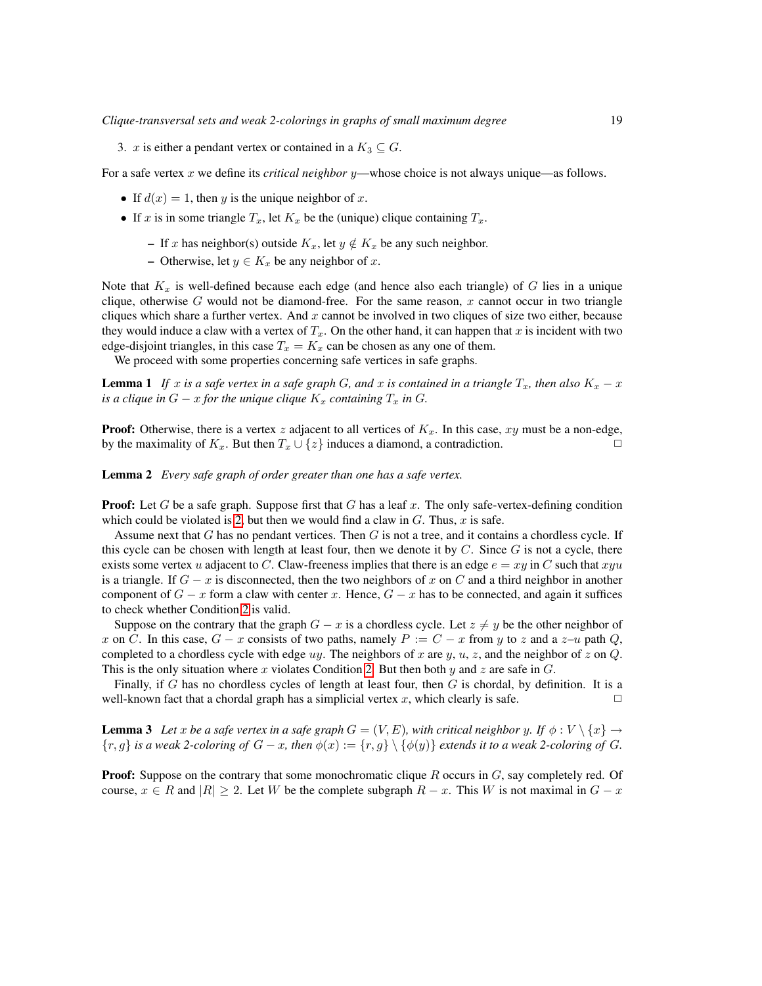3. x is either a pendant vertex or contained in a  $K_3 \subseteq G$ .

For a safe vertex x we define its *critical neighbor* y—whose choice is not always unique—as follows.

- If  $d(x) = 1$ , then y is the unique neighbor of x.
- If x is in some triangle  $T_x$ , let  $K_x$  be the (unique) clique containing  $T_x$ .
	- If x has neighbor(s) outside  $K_x$ , let  $y \notin K_x$  be any such neighbor.
	- Otherwise, let  $y \in K_x$  be any neighbor of x.

Note that  $K_x$  is well-defined because each edge (and hence also each triangle) of G lies in a unique clique, otherwise G would not be diamond-free. For the same reason,  $x$  cannot occur in two triangle cliques which share a further vertex. And  $x$  cannot be involved in two cliques of size two either, because they would induce a claw with a vertex of  $T_x$ . On the other hand, it can happen that x is incident with two edge-disjoint triangles, in this case  $T_x = K_x$  can be chosen as any one of them.

We proceed with some properties concerning safe vertices in safe graphs.

<span id="page-4-0"></span>**Lemma 1** *If* x is a safe vertex in a safe graph G, and x is contained in a triangle  $T_x$ , then also  $K_x - x$ *is a clique in*  $G - x$  *for the unique clique*  $K_x$  *containing*  $T_x$  *in*  $G$ *.* 

**Proof:** Otherwise, there is a vertex z adjacent to all vertices of  $K_x$ . In this case, xy must be a non-edge, by the maximality of  $K_x$ . But then  $T_x \cup \{z\}$  induces a diamond, a contradiction.

Lemma 2 *Every safe graph of order greater than one has a safe vertex.*

**Proof:** Let G be a safe graph. Suppose first that G has a leaf x. The only safe-vertex-defining condition which could be violated is [2,](#page-3-1) but then we would find a claw in  $G$ . Thus,  $x$  is safe.

Assume next that  $G$  has no pendant vertices. Then  $G$  is not a tree, and it contains a chordless cycle. If this cycle can be chosen with length at least four, then we denote it by  $C$ . Since  $G$  is not a cycle, there exists some vertex u adjacent to C. Claw-freeness implies that there is an edge  $e = xy$  in C such that  $xyu$ is a triangle. If  $G - x$  is disconnected, then the two neighbors of x on C and a third neighbor in another component of  $G - x$  form a claw with center x. Hence,  $G - x$  has to be connected, and again it suffices to check whether Condition [2](#page-3-1) is valid.

Suppose on the contrary that the graph  $G - x$  is a chordless cycle. Let  $z \neq y$  be the other neighbor of x on C. In this case,  $G - x$  consists of two paths, namely  $P := C - x$  from y to z and a  $z - u$  path Q, completed to a chordless cycle with edge uy. The neighbors of x are y, u, z, and the neighbor of z on  $Q$ . This is the only situation where x violates Condition [2.](#page-3-1) But then both y and z are safe in  $G$ .

Finally, if G has no chordless cycles of length at least four, then  $G$  is chordal, by definition. It is a well-known fact that a chordal graph has a simplicial vertex x, which clearly is safe.  $\Box$ 

**Lemma 3** Let x be a safe vertex in a safe graph  $G = (V, E)$ , with critical neighbor y. If  $\phi : V \setminus \{x\} \to$  ${r, g}$  *is a weak 2-coloring of*  $G - x$ *, then*  $\phi(x) := {r, g} \setminus {\phi(y)}$  *extends it to a weak 2-coloring of*  $G$ *.* 

**Proof:** Suppose on the contrary that some monochromatic clique  $R$  occurs in  $G$ , say completely red. Of course,  $x \in R$  and  $|R| \geq 2$ . Let W be the complete subgraph  $R - x$ . This W is not maximal in  $G - x$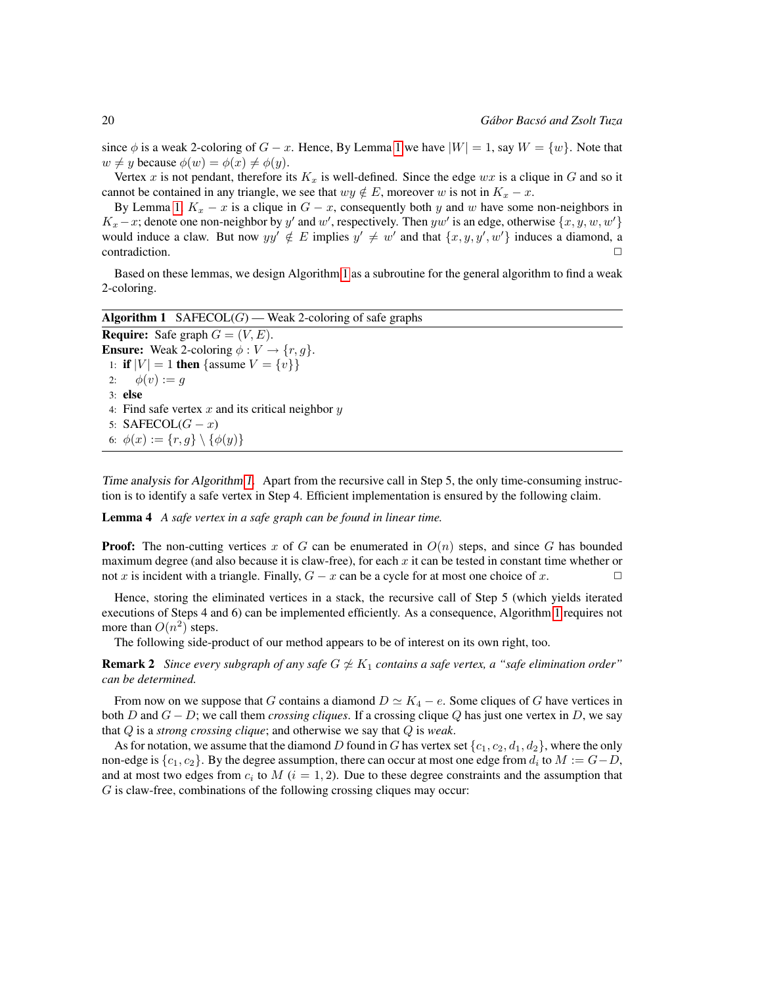since  $\phi$  is a weak 2-coloring of  $G - x$ . Hence, By Lemma [1](#page-4-0) we have  $|W| = 1$ , say  $W = \{w\}$ . Note that  $w \neq y$  because  $\phi(w) = \phi(x) \neq \phi(y)$ .

Vertex x is not pendant, therefore its  $K_x$  is well-defined. Since the edge  $wx$  is a clique in G and so it cannot be contained in any triangle, we see that  $wy \notin E$ , moreover w is not in  $K_x - x$ .

By Lemma [1,](#page-4-0)  $K_x - x$  is a clique in  $G - x$ , consequently both y and w have some non-neighbors in  $K_x - x$ ; denote one non-neighbor by y' and w', respectively. Then yw' is an edge, otherwise  $\{x, y, w, w'\}$ would induce a claw. But now  $yy' \notin E$  implies  $y' \neq w'$  and that  $\{x, y, y', w'\}$  induces a diamond, a  $\Box$ contradiction.  $\Box$ 

Based on these lemmas, we design Algorithm [1](#page-5-0) as a subroutine for the general algorithm to find a weak 2-coloring.

<span id="page-5-0"></span>Algorithm 1 SAFECOL $(G)$  — Weak 2-coloring of safe graphs **Require:** Safe graph  $G = (V, E)$ . **Ensure:** Weak 2-coloring  $\phi: V \to \{r, g\}.$ 1: **if**  $|V| = 1$  then {assume  $V = \{v\}$ } 2:  $\phi(v) := g$ 3: else 4: Find safe vertex  $x$  and its critical neighbor  $y$ 5: SAFECOL $(G - x)$ 6:  $\phi(x) := \{r, g\} \setminus \{\phi(y)\}\$ 

Time analysis for Algorithm [1.](#page-5-0) Apart from the recursive call in Step 5, the only time-consuming instruction is to identify a safe vertex in Step 4. Efficient implementation is ensured by the following claim.

Lemma 4 *A safe vertex in a safe graph can be found in linear time.*

**Proof:** The non-cutting vertices x of G can be enumerated in  $O(n)$  steps, and since G has bounded maximum degree (and also because it is claw-free), for each  $x$  it can be tested in constant time whether or not x is incident with a triangle. Finally,  $G - x$  can be a cycle for at most one choice of x.

Hence, storing the eliminated vertices in a stack, the recursive call of Step 5 (which yields iterated executions of Steps 4 and 6) can be implemented efficiently. As a consequence, Algorithm [1](#page-5-0) requires not more than  $O(n^2)$  steps.

The following side-product of our method appears to be of interest on its own right, too.

**Remark 2** *Since every subgraph of any safe*  $G \not\simeq K_1$  *contains a safe vertex, a "safe elimination order" can be determined.*

From now on we suppose that G contains a diamond  $D \simeq K_4 - e$ . Some cliques of G have vertices in both D and G − D; we call them *crossing cliques*. If a crossing clique Q has just one vertex in D, we say that Q is a *strong crossing clique*; and otherwise we say that Q is *weak*.

As for notation, we assume that the diamond D found in G has vertex set  $\{c_1, c_2, d_1, d_2\}$ , where the only non-edge is  $\{c_1, c_2\}$ . By the degree assumption, there can occur at most one edge from  $d_i$  to  $M := G - D$ , and at most two edges from  $c_i$  to  $M$  ( $i = 1, 2$ ). Due to these degree constraints and the assumption that G is claw-free, combinations of the following crossing cliques may occur: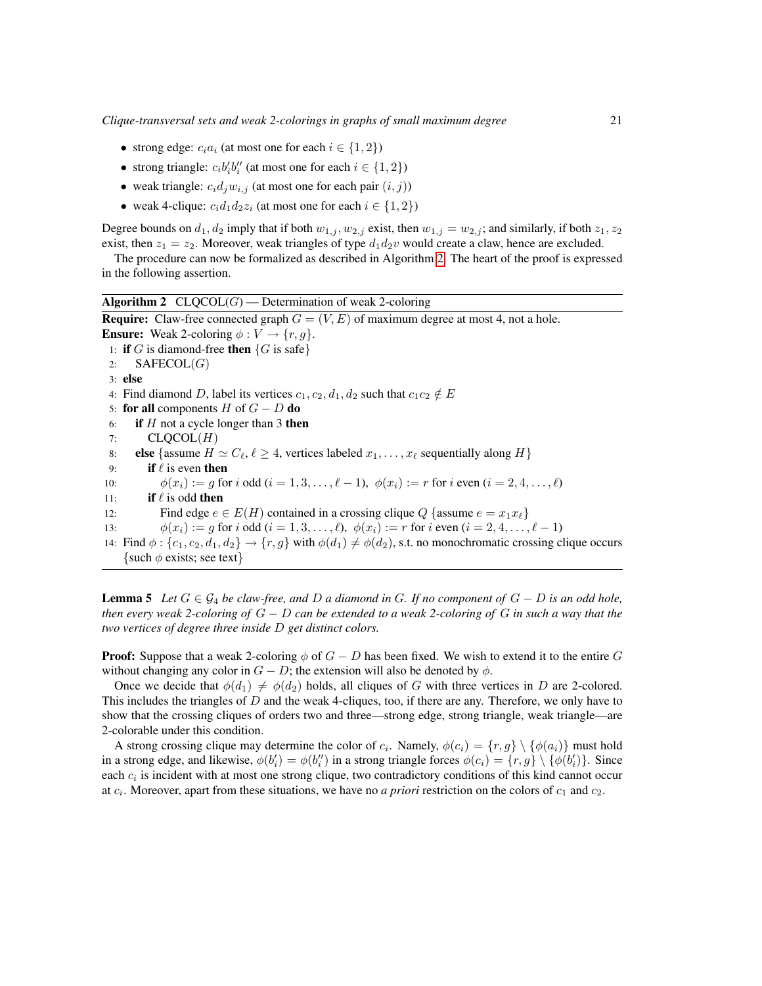- strong edge:  $c_i a_i$  (at most one for each  $i \in \{1, 2\}$ )
- strong triangle:  $c_i b_i' b_i''$  (at most one for each  $i \in \{1, 2\}$ )
- weak triangle:  $c_i d_j w_{i,j}$  (at most one for each pair  $(i, j)$ )
- weak 4-clique:  $c_i d_1 d_2 z_i$  (at most one for each  $i \in \{1, 2\}$ )

Degree bounds on  $d_1, d_2$  imply that if both  $w_{1,j}$ ,  $w_{2,j}$  exist, then  $w_{1,j} = w_{2,j}$ ; and similarly, if both  $z_1, z_2$ exist, then  $z_1 = z_2$ . Moreover, weak triangles of type  $d_1 d_2 v$  would create a claw, hence are excluded.

The procedure can now be formalized as described in Algorithm [2.](#page-6-0) The heart of the proof is expressed in the following assertion.

<span id="page-6-0"></span>**Algorithm 2**  $CLQCOL(G)$  — Determination of weak 2-coloring **Require:** Claw-free connected graph  $G = (V, E)$  of maximum degree at most 4, not a hole. **Ensure:** Weak 2-coloring  $\phi: V \to \{r, g\}.$ 1: if G is diamond-free then  $\{G \text{ is safe}\}\$ 2:  $SAFECOL(G)$ 3: else 4: Find diamond D, label its vertices  $c_1, c_2, d_1, d_2$  such that  $c_1c_2 \notin E$ 5: for all components  $H$  of  $G - D$  do 6: if  $H$  not a cycle longer than 3 then 7:  $CLQCOL(H)$ 8: else {assume  $H \simeq C_{\ell}, \ell \geq 4$ , vertices labeled  $x_1, \ldots, x_{\ell}$  sequentially along  $H$ } 9: **if**  $\ell$  is even then 10:  $\phi(x_i) := g$  for i odd  $(i = 1, 3, \dots, \ell - 1)$ ,  $\phi(x_i) := r$  for i even  $(i = 2, 4, \dots, \ell)$ 11: **if**  $\ell$  is odd then 12: Find edge  $e \in E(H)$  contained in a crossing clique Q {assume  $e = x_1 x_\ell$ } 13:  $\phi(x_i) := q \text{ for } i \text{ odd } (i = 1, 3, \dots, \ell), \ \phi(x_i) := r \text{ for } i \text{ even } (i = 2, 4, \dots, \ell-1)$ 14: Find  $\phi$  :  $\{c_1, c_2, d_1, d_2\} \rightarrow \{r, g\}$  with  $\phi(d_1) \neq \phi(d_2)$ , s.t. no monochromatic crossing clique occurs {such  $\phi$  exists; see text}

<span id="page-6-1"></span>**Lemma 5** Let  $G \in \mathcal{G}_4$  be claw-free, and D a diamond in G. If no component of  $G - D$  is an odd hole, *then every weak 2-coloring of* G − D *can be extended to a weak 2-coloring of* G *in such a way that the two vertices of degree three inside* D *get distinct colors.*

**Proof:** Suppose that a weak 2-coloring  $\phi$  of  $G - D$  has been fixed. We wish to extend it to the entire G without changing any color in  $G - D$ ; the extension will also be denoted by  $\phi$ .

Once we decide that  $\phi(d_1) \neq \phi(d_2)$  holds, all cliques of G with three vertices in D are 2-colored. This includes the triangles of  $D$  and the weak 4-cliques, too, if there are any. Therefore, we only have to show that the crossing cliques of orders two and three—strong edge, strong triangle, weak triangle—are 2-colorable under this condition.

A strong crossing clique may determine the color of  $c_i$ . Namely,  $\phi(c_i) = \{r, g\} \setminus \{\phi(a_i)\}$  must hold in a strong edge, and likewise,  $\phi(b'_i) = \phi(b''_i)$  in a strong triangle forces  $\phi(c_i) = \{r, g\} \setminus \{\phi(b'_i)\}\)$ . Since each  $c_i$  is incident with at most one strong clique, two contradictory conditions of this kind cannot occur at  $c_i$ . Moreover, apart from these situations, we have no *a priori* restriction on the colors of  $c_1$  and  $c_2$ .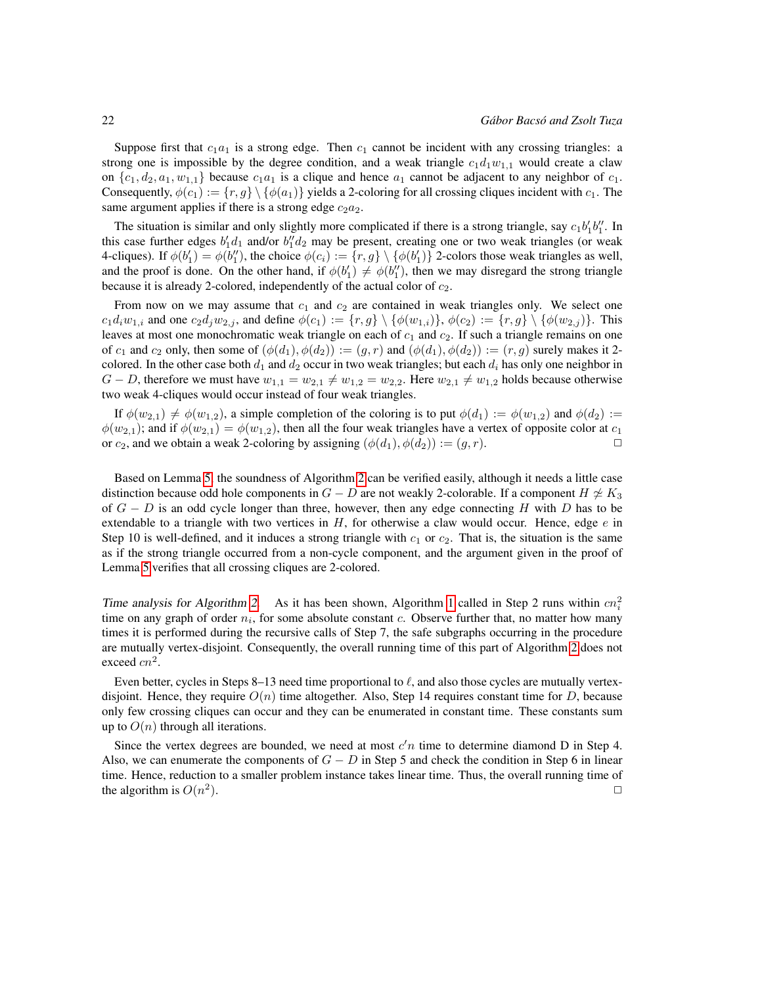Suppose first that  $c_1a_1$  is a strong edge. Then  $c_1$  cannot be incident with any crossing triangles: a strong one is impossible by the degree condition, and a weak triangle  $c_1d_1w_{1,1}$  would create a claw on  $\{c_1, d_2, a_1, w_{1,1}\}$  because  $c_1a_1$  is a clique and hence  $a_1$  cannot be adjacent to any neighbor of  $c_1$ . Consequently,  $\phi(c_1) := \{r, g\} \setminus \{\phi(a_1)\}\$  yields a 2-coloring for all crossing cliques incident with  $c_1$ . The same argument applies if there is a strong edge  $c_2a_2$ .

The situation is similar and only slightly more complicated if there is a strong triangle, say  $c_1b'_1b''_1$ . In this case further edges  $b'_1d_1$  and/or  $b''_1d_2$  may be present, creating one or two weak triangles (or weak 4-cliques). If  $\phi(b'_1) = \phi(b''_1)$ , the choice  $\phi(c_i) := \{r, g\} \setminus \{\phi(b'_1)\}$  2-colors those weak triangles as well, and the proof is done. On the other hand, if  $\phi(b'_1) \neq \phi(b''_1)$ , then we may disregard the strong triangle because it is already 2-colored, independently of the actual color of  $c_2$ .

From now on we may assume that  $c_1$  and  $c_2$  are contained in weak triangles only. We select one  $c_1d_iw_{1,i}$  and one  $c_2d_jw_{2,j}$ , and define  $\phi(c_1) := \{r, g\} \setminus \{\phi(w_{1,i})\}, \phi(c_2) := \{r, g\} \setminus \{\phi(w_{2,j})\}.$  This leaves at most one monochromatic weak triangle on each of  $c_1$  and  $c_2$ . If such a triangle remains on one of  $c_1$  and  $c_2$  only, then some of  $(\phi(d_1), \phi(d_2)) := (g, r)$  and  $(\phi(d_1), \phi(d_2)) := (r, g)$  surely makes it 2colored. In the other case both  $d_1$  and  $d_2$  occur in two weak triangles; but each  $d_i$  has only one neighbor in  $G - D$ , therefore we must have  $w_{1,1} = w_{2,1} \neq w_{1,2} = w_{2,2}$ . Here  $w_{2,1} \neq w_{1,2}$  holds because otherwise two weak 4-cliques would occur instead of four weak triangles.

If  $\phi(w_{2,1}) \neq \phi(w_{1,2})$ , a simple completion of the coloring is to put  $\phi(d_1) := \phi(w_{1,2})$  and  $\phi(d_2) :=$  $\phi(w_{2,1});$  and if  $\phi(w_{2,1}) = \phi(w_{1,2})$ , then all the four weak triangles have a vertex of opposite color at  $c_1$ or  $c_2$ , and we obtain a weak 2-coloring by assigning  $(\phi(d_1), \phi(d_2)) := (g, r)$ .

Based on Lemma [5,](#page-6-1) the soundness of Algorithm [2](#page-6-0) can be verified easily, although it needs a little case distinction because odd hole components in  $G - D$  are not weakly 2-colorable. If a component  $H \not\cong K_3$ of  $G - D$  is an odd cycle longer than three, however, then any edge connecting H with D has to be extendable to a triangle with two vertices in  $H$ , for otherwise a claw would occur. Hence, edge  $e$  in Step 10 is well-defined, and it induces a strong triangle with  $c_1$  or  $c_2$ . That is, the situation is the same as if the strong triangle occurred from a non-cycle component, and the argument given in the proof of Lemma [5](#page-6-1) verifies that all crossing cliques are 2-colored.

Time analysis for Algorithm [2.](#page-6-0) As it has been shown, Algorithm [1](#page-5-0) called in Step 2 runs within  $cn_i^2$ time on any graph of order  $n_i$ , for some absolute constant c. Observe further that, no matter how many times it is performed during the recursive calls of Step 7, the safe subgraphs occurring in the procedure are mutually vertex-disjoint. Consequently, the overall running time of this part of Algorithm [2](#page-6-0) does not exceed  $cn^2$ .

Even better, cycles in Steps 8–13 need time proportional to  $\ell$ , and also those cycles are mutually vertexdisjoint. Hence, they require  $O(n)$  time altogether. Also, Step 14 requires constant time for D, because only few crossing cliques can occur and they can be enumerated in constant time. These constants sum up to  $O(n)$  through all iterations.

Since the vertex degrees are bounded, we need at most  $c'n$  time to determine diamond D in Step 4. Also, we can enumerate the components of  $G - D$  in Step 5 and check the condition in Step 6 in linear time. Hence, reduction to a smaller problem instance takes linear time. Thus, the overall running time of the algorithm is  $O(n^2)$ ).  $\Box$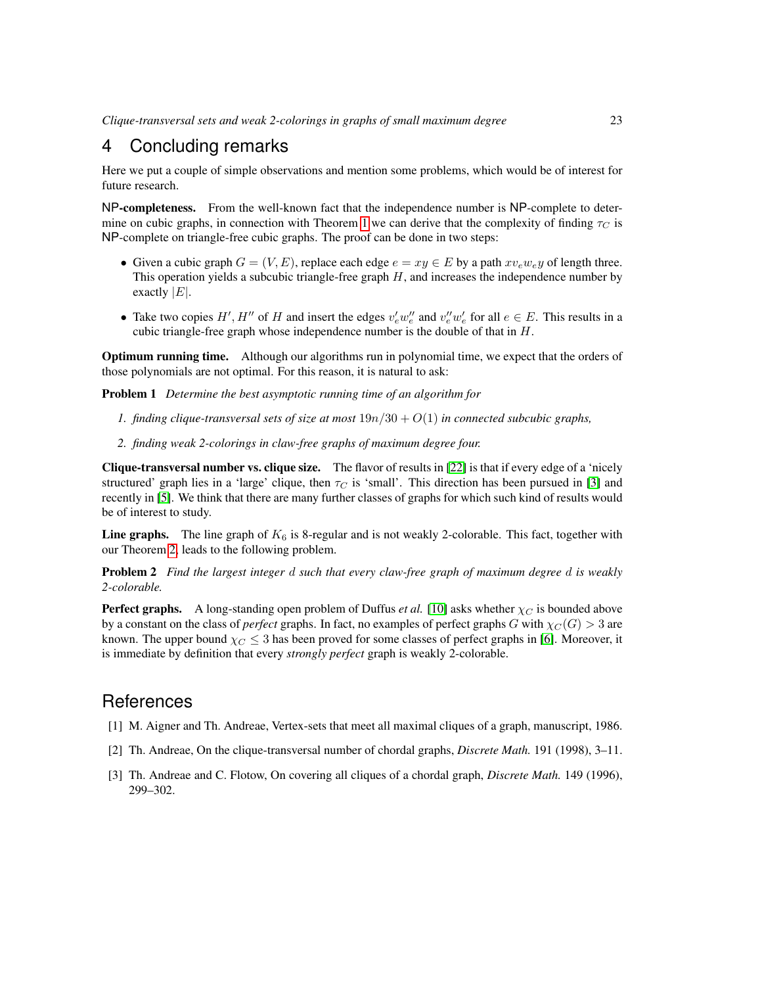## 4 Concluding remarks

Here we put a couple of simple observations and mention some problems, which would be of interest for future research.

NP-completeness. From the well-known fact that the independence number is NP-complete to deter-mine on cubic graphs, in connection with Theorem [1](#page-1-3) we can derive that the complexity of finding  $\tau_C$  is NP-complete on triangle-free cubic graphs. The proof can be done in two steps:

- Given a cubic graph  $G = (V, E)$ , replace each edge  $e = xu \in E$  by a path  $xv_e w_e y$  of length three. This operation yields a subcubic triangle-free graph  $H$ , and increases the independence number by exactly  $|E|$ .
- Take two copies H', H'' of H and insert the edges  $v'_e w''_e$  and  $v''_e w'_e$  for all  $e \in E$ . This results in a cubic triangle-free graph whose independence number is the double of that in  $H$ .

Optimum running time. Although our algorithms run in polynomial time, we expect that the orders of those polynomials are not optimal. For this reason, it is natural to ask:

Problem 1 *Determine the best asymptotic running time of an algorithm for*

- *1. finding clique-transversal sets of size at most*  $19n/30 + O(1)$  *in connected subcubic graphs,*
- *2. finding weak 2-colorings in claw-free graphs of maximum degree four.*

Clique-transversal number vs. clique size. The flavor of results in [\[22\]](#page-9-1) is that if every edge of a 'nicely structured' graph lies in a 'large' clique, then  $\tau_C$  is 'small'. This direction has been pursued in [\[3\]](#page-8-0) and recently in [\[5\]](#page-9-17). We think that there are many further classes of graphs for which such kind of results would be of interest to study.

**Line graphs.** The line graph of  $K_6$  is 8-regular and is not weakly 2-colorable. This fact, together with our Theorem [2,](#page-2-2) leads to the following problem.

Problem 2 *Find the largest integer* d *such that every claw-free graph of maximum degree* d *is weakly 2-colorable.*

**Perfect graphs.** A long-standing open problem of Duffus *et al.* [\[10\]](#page-9-18) asks whether  $\chi_C$  is bounded above by a constant on the class of *perfect* graphs. In fact, no examples of perfect graphs G with  $\chi_C(G) > 3$  are known. The upper bound  $\chi_C \leq 3$  has been proved for some classes of perfect graphs in [\[6\]](#page-9-14). Moreover, it is immediate by definition that every *strongly perfect* graph is weakly 2-colorable.

## References

- [1] M. Aigner and Th. Andreae, Vertex-sets that meet all maximal cliques of a graph, manuscript, 1986.
- [2] Th. Andreae, On the clique-transversal number of chordal graphs, *Discrete Math.* 191 (1998), 3–11.
- <span id="page-8-0"></span>[3] Th. Andreae and C. Flotow, On covering all cliques of a chordal graph, *Discrete Math.* 149 (1996), 299–302.